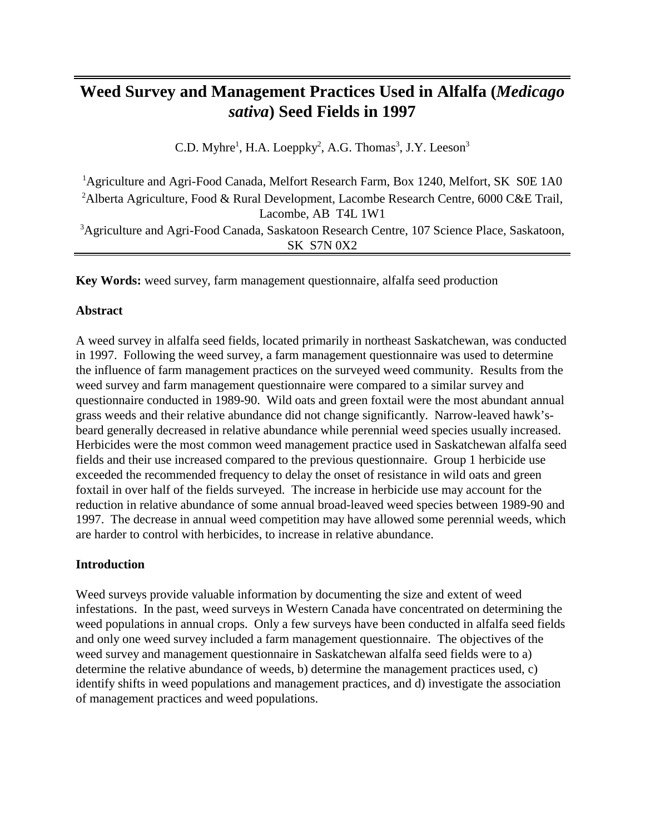# **Weed Survey and Management Practices Used in Alfalfa (***Medicago sativa***) Seed Fields in 1997**

C.D. Myhre<sup>1</sup>, H.A. Loeppky<sup>2</sup>, A.G. Thomas<sup>3</sup>, J.Y. Leeson<sup>3</sup>

<sup>1</sup>Agriculture and Agri-Food Canada, Melfort Research Farm, Box 1240, Melfort, SK S0E 1A0 <sup>2</sup> Alberta Agriculture, Food & Rural Development, Lacombe Research Centre, 6000 C&E Trail, Lacombe, AB T4L 1W1 <sup>3</sup>Agriculture and Agri-Food Canada, Saskatoon Research Centre, 107 Science Place, Saskatoon, SK S7N 0X2

**Key Words:** weed survey, farm management questionnaire, alfalfa seed production

### **Abstract**

A weed survey in alfalfa seed fields, located primarily in northeast Saskatchewan, was conducted in 1997. Following the weed survey, a farm management questionnaire was used to determine the influence of farm management practices on the surveyed weed community. Results from the weed survey and farm management questionnaire were compared to a similar survey and questionnaire conducted in 1989-90. Wild oats and green foxtail were the most abundant annual grass weeds and their relative abundance did not change significantly. Narrow-leaved hawk'sbeard generally decreased in relative abundance while perennial weed species usually increased. Herbicides were the most common weed management practice used in Saskatchewan alfalfa seed fields and their use increased compared to the previous questionnaire. Group 1 herbicide use exceeded the recommended frequency to delay the onset of resistance in wild oats and green foxtail in over half of the fields surveyed. The increase in herbicide use may account for the reduction in relative abundance of some annual broad-leaved weed species between 1989-90 and 1997. The decrease in annual weed competition may have allowed some perennial weeds, which are harder to control with herbicides, to increase in relative abundance.

### **Introduction**

Weed surveys provide valuable information by documenting the size and extent of weed infestations. In the past, weed surveys in Western Canada have concentrated on determining the weed populations in annual crops. Only a few surveys have been conducted in alfalfa seed fields and only one weed survey included a farm management questionnaire. The objectives of the weed survey and management questionnaire in Saskatchewan alfalfa seed fields were to a) determine the relative abundance of weeds, b) determine the management practices used, c) identify shifts in weed populations and management practices, and d) investigate the association of management practices and weed populations.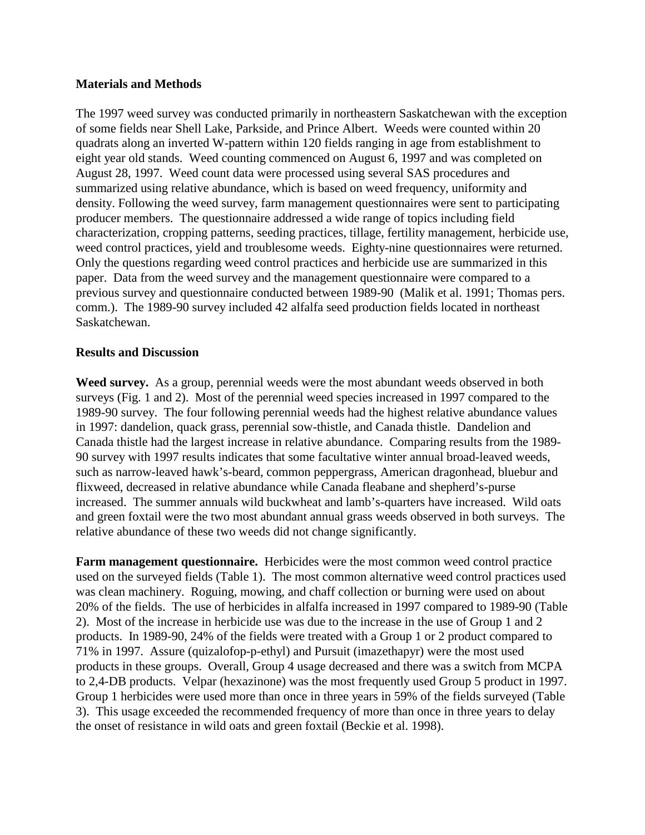#### **Materials and Methods**

The 1997 weed survey was conducted primarily in northeastern Saskatchewan with the exception of some fields near Shell Lake, Parkside, and Prince Albert. Weeds were counted within 20 quadrats along an inverted W-pattern within 120 fields ranging in age from establishment to eight year old stands. Weed counting commenced on August 6, 1997 and was completed on August 28, 1997. Weed count data were processed using several SAS procedures and summarized using relative abundance, which is based on weed frequency, uniformity and density. Following the weed survey, farm management questionnaires were sent to participating producer members. The questionnaire addressed a wide range of topics including field characterization, cropping patterns, seeding practices, tillage, fertility management, herbicide use, weed control practices, yield and troublesome weeds. Eighty-nine questionnaires were returned. Only the questions regarding weed control practices and herbicide use are summarized in this paper. Data from the weed survey and the management questionnaire were compared to a previous survey and questionnaire conducted between 1989-90 (Malik et al. 1991; Thomas pers. comm.). The 1989-90 survey included 42 alfalfa seed production fields located in northeast Saskatchewan.

#### **Results and Discussion**

**Weed survey.** As a group, perennial weeds were the most abundant weeds observed in both surveys (Fig. 1 and 2). Most of the perennial weed species increased in 1997 compared to the 1989-90 survey. The four following perennial weeds had the highest relative abundance values in 1997: dandelion, quack grass, perennial sow-thistle, and Canada thistle. Dandelion and Canada thistle had the largest increase in relative abundance. Comparing results from the 1989- 90 survey with 1997 results indicates that some facultative winter annual broad-leaved weeds, such as narrow-leaved hawk's-beard, common peppergrass, American dragonhead, bluebur and flixweed, decreased in relative abundance while Canada fleabane and shepherd's-purse increased. The summer annuals wild buckwheat and lamb's-quarters have increased. Wild oats and green foxtail were the two most abundant annual grass weeds observed in both surveys. The relative abundance of these two weeds did not change significantly.

**Farm management questionnaire.** Herbicides were the most common weed control practice used on the surveyed fields (Table 1). The most common alternative weed control practices used was clean machinery. Roguing, mowing, and chaff collection or burning were used on about 20% of the fields. The use of herbicides in alfalfa increased in 1997 compared to 1989-90 (Table 2). Most of the increase in herbicide use was due to the increase in the use of Group 1 and 2 products. In 1989-90, 24% of the fields were treated with a Group 1 or 2 product compared to 71% in 1997. Assure (quizalofop-p-ethyl) and Pursuit (imazethapyr) were the most used products in these groups. Overall, Group 4 usage decreased and there was a switch from MCPA to 2,4-DB products. Velpar (hexazinone) was the most frequently used Group 5 product in 1997. Group 1 herbicides were used more than once in three years in 59% of the fields surveyed (Table 3). This usage exceeded the recommended frequency of more than once in three years to delay the onset of resistance in wild oats and green foxtail (Beckie et al. 1998).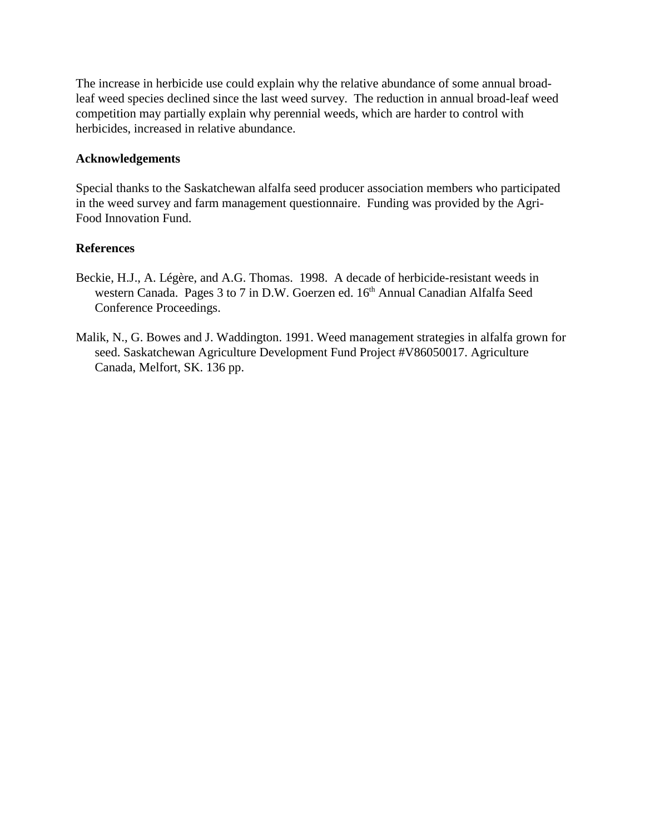The increase in herbicide use could explain why the relative abundance of some annual broadleaf weed species declined since the last weed survey. The reduction in annual broad-leaf weed competition may partially explain why perennial weeds, which are harder to control with herbicides, increased in relative abundance.

#### **Acknowledgements**

Special thanks to the Saskatchewan alfalfa seed producer association members who participated in the weed survey and farm management questionnaire. Funding was provided by the Agri-Food Innovation Fund.

#### **References**

- Beckie, H.J., A. Légère, and A.G. Thomas. 1998. A decade of herbicide-resistant weeds in western Canada. Pages 3 to 7 in D.W. Goerzen ed. 16<sup>th</sup> Annual Canadian Alfalfa Seed Conference Proceedings.
- Malik, N., G. Bowes and J. Waddington. 1991. Weed management strategies in alfalfa grown for seed. Saskatchewan Agriculture Development Fund Project #V86050017. Agriculture Canada, Melfort, SK. 136 pp.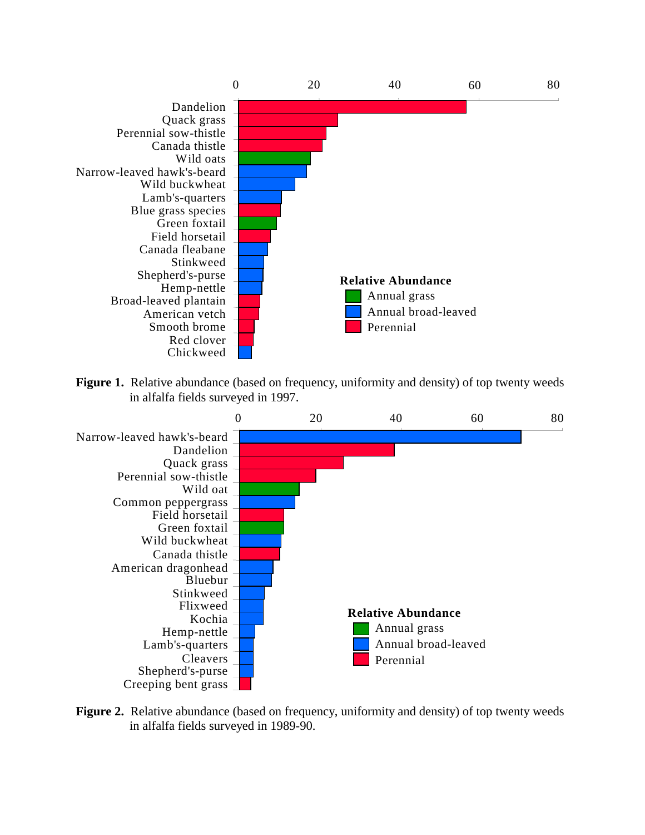

Figure 1. Relative abundance (based on frequency, uniformity and density) of top twenty weeds in alfalfa fields surveyed in 1997.



**Figure 2.** Relative abundance (based on frequency, uniformity and density) of top twenty weeds in alfalfa fields surveyed in 1989-90.